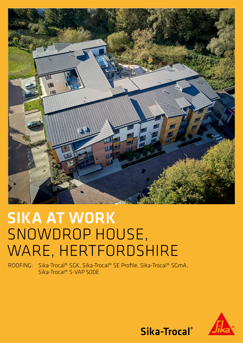

## SIKA AT WORK SNOWDROP HOUSE, WARE, HERTFORDSHIRE

ROOFING: Sika-Trocal® SGK, Sika-Trocal® SE Profile, Sika-Trocal® SGmA, Sika-Trocal® S-VAP 500E



Sika-Trocal®